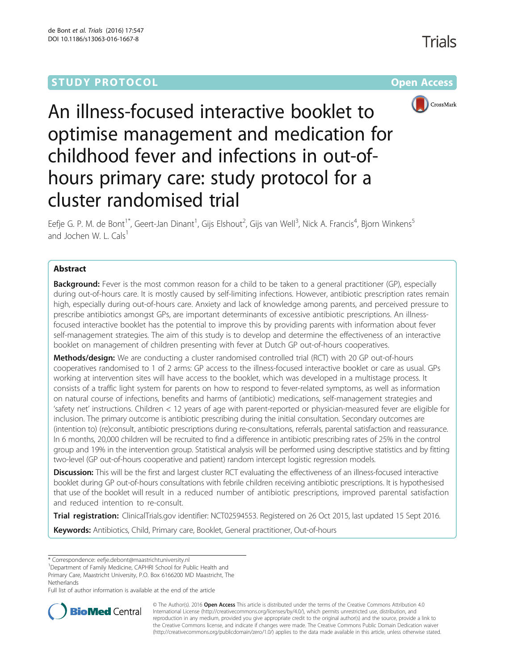# **STUDY PROTOCOL CONSUMING THE RESERVE ACCESS**



An illness-focused interactive booklet to optimise management and medication for childhood fever and infections in out-ofhours primary care: study protocol for a cluster randomised trial

Eefje G. P. M. de Bont<sup>1\*</sup>, Geert-Jan Dinant<sup>1</sup>, Gijs Elshout<sup>2</sup>, Gijs van Well<sup>3</sup>, Nick A. Francis<sup>4</sup>, Bjorn Winkens<sup>5</sup> and Jochen W. L. Cals $<sup>1</sup>$ </sup>

# Abstract

**Background:** Fever is the most common reason for a child to be taken to a general practitioner (GP), especially during out-of-hours care. It is mostly caused by self-limiting infections. However, antibiotic prescription rates remain high, especially during out-of-hours care. Anxiety and lack of knowledge among parents, and perceived pressure to prescribe antibiotics amongst GPs, are important determinants of excessive antibiotic prescriptions. An illnessfocused interactive booklet has the potential to improve this by providing parents with information about fever self-management strategies. The aim of this study is to develop and determine the effectiveness of an interactive booklet on management of children presenting with fever at Dutch GP out-of-hours cooperatives.

**Methods/design:** We are conducting a cluster randomised controlled trial (RCT) with 20 GP out-of-hours cooperatives randomised to 1 of 2 arms: GP access to the illness-focused interactive booklet or care as usual. GPs working at intervention sites will have access to the booklet, which was developed in a multistage process. It consists of a traffic light system for parents on how to respond to fever-related symptoms, as well as information on natural course of infections, benefits and harms of (antibiotic) medications, self-management strategies and 'safety net' instructions. Children < 12 years of age with parent-reported or physician-measured fever are eligible for inclusion. The primary outcome is antibiotic prescribing during the initial consultation. Secondary outcomes are (intention to) (re)consult, antibiotic prescriptions during re-consultations, referrals, parental satisfaction and reassurance. In 6 months, 20,000 children will be recruited to find a difference in antibiotic prescribing rates of 25% in the control group and 19% in the intervention group. Statistical analysis will be performed using descriptive statistics and by fitting two-level (GP out-of-hours cooperative and patient) random intercept logistic regression models.

Discussion: This will be the first and largest cluster RCT evaluating the effectiveness of an illness-focused interactive booklet during GP out-of-hours consultations with febrile children receiving antibiotic prescriptions. It is hypothesised that use of the booklet will result in a reduced number of antibiotic prescriptions, improved parental satisfaction and reduced intention to re-consult.

Trial registration: ClinicalTrials.gov identifier: [NCT02594553.](https://clinicaltrials.gov/ct2/show/NCT02594553) Registered on 26 Oct 2015, last updated 15 Sept 2016.

Keywords: Antibiotics, Child, Primary care, Booklet, General practitioner, Out-of-hours

<sup>1</sup>Department of Family Medicine, CAPHRI School for Public Health and Primary Care, Maastricht University, P.O. Box 6166200 MD Maastricht, The **Netherlands** 

Full list of author information is available at the end of the article



© The Author(s). 2016 Open Access This article is distributed under the terms of the Creative Commons Attribution 4.0 International License [\(http://creativecommons.org/licenses/by/4.0/](http://creativecommons.org/licenses/by/4.0/)), which permits unrestricted use, distribution, and reproduction in any medium, provided you give appropriate credit to the original author(s) and the source, provide a link to the Creative Commons license, and indicate if changes were made. The Creative Commons Public Domain Dedication waiver [\(http://creativecommons.org/publicdomain/zero/1.0/](http://creativecommons.org/publicdomain/zero/1.0/)) applies to the data made available in this article, unless otherwise stated.

<sup>\*</sup> Correspondence: [eefje.debont@maastrichtuniversity.nl](mailto:eefje.debont@maastrichtuniversity.nl) <sup>1</sup>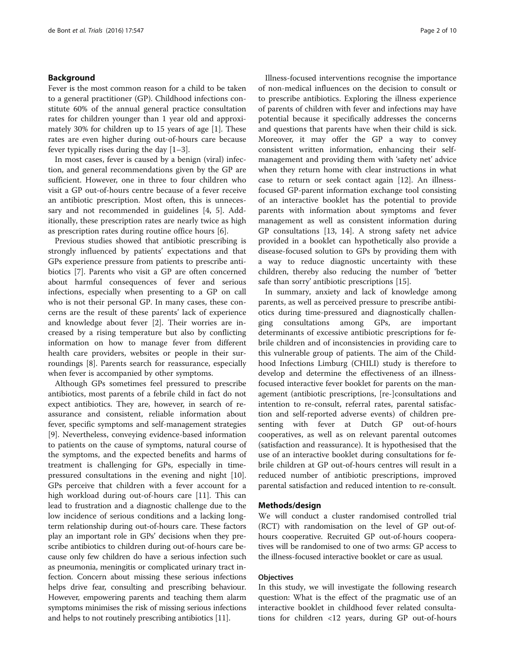## Background

Fever is the most common reason for a child to be taken to a general practitioner (GP). Childhood infections constitute 60% of the annual general practice consultation rates for children younger than 1 year old and approximately 30% for children up to 15 years of age [[1\]](#page-8-0). These rates are even higher during out-of-hours care because fever typically rises during the day [\[1](#page-8-0)–[3\]](#page-8-0).

In most cases, fever is caused by a benign (viral) infection, and general recommendations given by the GP are sufficient. However, one in three to four children who visit a GP out-of-hours centre because of a fever receive an antibiotic prescription. Most often, this is unnecessary and not recommended in guidelines [\[4](#page-8-0), [5](#page-8-0)]. Additionally, these prescription rates are nearly twice as high as prescription rates during routine office hours [\[6](#page-8-0)].

Previous studies showed that antibiotic prescribing is strongly influenced by patients' expectations and that GPs experience pressure from patients to prescribe antibiotics [[7\]](#page-8-0). Parents who visit a GP are often concerned about harmful consequences of fever and serious infections, especially when presenting to a GP on call who is not their personal GP. In many cases, these concerns are the result of these parents' lack of experience and knowledge about fever [[2\]](#page-8-0). Their worries are increased by a rising temperature but also by conflicting information on how to manage fever from different health care providers, websites or people in their surroundings [[8\]](#page-8-0). Parents search for reassurance, especially when fever is accompanied by other symptoms.

Although GPs sometimes feel pressured to prescribe antibiotics, most parents of a febrile child in fact do not expect antibiotics. They are, however, in search of reassurance and consistent, reliable information about fever, specific symptoms and self-management strategies [[9\]](#page-8-0). Nevertheless, conveying evidence-based information to patients on the cause of symptoms, natural course of the symptoms, and the expected benefits and harms of treatment is challenging for GPs, especially in timepressured consultations in the evening and night [\[10](#page-8-0)]. GPs perceive that children with a fever account for a high workload during out-of-hours care [[11\]](#page-9-0). This can lead to frustration and a diagnostic challenge due to the low incidence of serious conditions and a lacking longterm relationship during out-of-hours care. These factors play an important role in GPs' decisions when they prescribe antibiotics to children during out-of-hours care because only few children do have a serious infection such as pneumonia, meningitis or complicated urinary tract infection. Concern about missing these serious infections helps drive fear, consulting and prescribing behaviour. However, empowering parents and teaching them alarm symptoms minimises the risk of missing serious infections and helps to not routinely prescribing antibiotics [\[11\]](#page-9-0).

Illness-focused interventions recognise the importance of non-medical influences on the decision to consult or to prescribe antibiotics. Exploring the illness experience of parents of children with fever and infections may have potential because it specifically addresses the concerns and questions that parents have when their child is sick. Moreover, it may offer the GP a way to convey consistent written information, enhancing their selfmanagement and providing them with 'safety net' advice when they return home with clear instructions in what case to return or seek contact again [\[12\]](#page-9-0). An illnessfocused GP-parent information exchange tool consisting of an interactive booklet has the potential to provide parents with information about symptoms and fever management as well as consistent information during GP consultations [\[13](#page-9-0), [14](#page-9-0)]. A strong safety net advice provided in a booklet can hypothetically also provide a disease-focused solution to GPs by providing them with a way to reduce diagnostic uncertainty with these children, thereby also reducing the number of 'better safe than sorry' antibiotic prescriptions [[15\]](#page-9-0).

In summary, anxiety and lack of knowledge among parents, as well as perceived pressure to prescribe antibiotics during time-pressured and diagnostically challenging consultations among GPs, are important determinants of excessive antibiotic prescriptions for febrile children and of inconsistencies in providing care to this vulnerable group of patients. The aim of the Childhood Infections Limburg (CHILI) study is therefore to develop and determine the effectiveness of an illnessfocused interactive fever booklet for parents on the management (antibiotic prescriptions, [re-]consultations and intention to re-consult, referral rates, parental satisfaction and self-reported adverse events) of children presenting with fever at Dutch GP out-of-hours cooperatives, as well as on relevant parental outcomes (satisfaction and reassurance). It is hypothesised that the use of an interactive booklet during consultations for febrile children at GP out-of-hours centres will result in a reduced number of antibiotic prescriptions, improved parental satisfaction and reduced intention to re-consult.

# Methods/design

We will conduct a cluster randomised controlled trial (RCT) with randomisation on the level of GP out-ofhours cooperative. Recruited GP out-of-hours cooperatives will be randomised to one of two arms: GP access to the illness-focused interactive booklet or care as usual.

## **Objectives**

In this study, we will investigate the following research question: What is the effect of the pragmatic use of an interactive booklet in childhood fever related consultations for children <12 years, during GP out-of-hours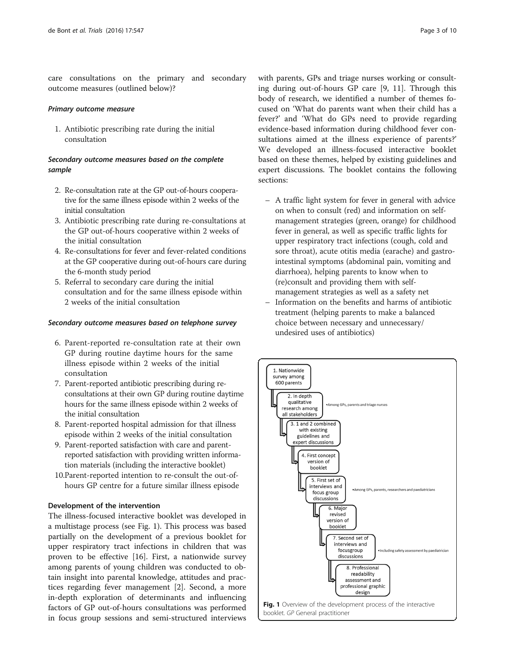care consultations on the primary and secondary outcome measures (outlined below)?

### Primary outcome measure

1. Antibiotic prescribing rate during the initial consultation

# Secondary outcome measures based on the complete sample

- 2. Re-consultation rate at the GP out-of-hours cooperative for the same illness episode within 2 weeks of the initial consultation
- 3. Antibiotic prescribing rate during re-consultations at the GP out-of-hours cooperative within 2 weeks of the initial consultation
- 4. Re-consultations for fever and fever-related conditions at the GP cooperative during out-of-hours care during the 6-month study period
- 5. Referral to secondary care during the initial consultation and for the same illness episode within 2 weeks of the initial consultation

## Secondary outcome measures based on telephone survey

- 6. Parent-reported re-consultation rate at their own GP during routine daytime hours for the same illness episode within 2 weeks of the initial consultation
- 7. Parent-reported antibiotic prescribing during reconsultations at their own GP during routine daytime hours for the same illness episode within 2 weeks of the initial consultation
- 8. Parent-reported hospital admission for that illness episode within 2 weeks of the initial consultation
- 9. Parent-reported satisfaction with care and parentreported satisfaction with providing written information materials (including the interactive booklet)
- 10.Parent-reported intention to re-consult the out-ofhours GP centre for a future similar illness episode

# Development of the intervention

The illness-focused interactive booklet was developed in a multistage process (see Fig. 1). This process was based partially on the development of a previous booklet for upper respiratory tract infections in children that was proven to be effective [\[16](#page-9-0)]. First, a nationwide survey among parents of young children was conducted to obtain insight into parental knowledge, attitudes and practices regarding fever management [[2](#page-8-0)]. Second, a more in-depth exploration of determinants and influencing factors of GP out-of-hours consultations was performed in focus group sessions and semi-structured interviews

with parents, GPs and triage nurses working or consulting during out-of-hours GP care [[9,](#page-8-0) [11](#page-9-0)]. Through this body of research, we identified a number of themes focused on 'What do parents want when their child has a fever?' and 'What do GPs need to provide regarding evidence-based information during childhood fever consultations aimed at the illness experience of parents?' We developed an illness-focused interactive booklet based on these themes, helped by existing guidelines and expert discussions. The booklet contains the following sections:

- A traffic light system for fever in general with advice on when to consult (red) and information on selfmanagement strategies (green, orange) for childhood fever in general, as well as specific traffic lights for upper respiratory tract infections (cough, cold and sore throat), acute otitis media (earache) and gastrointestinal symptoms (abdominal pain, vomiting and diarrhoea), helping parents to know when to (re)consult and providing them with selfmanagement strategies as well as a safety net
- Information on the benefits and harms of antibiotic treatment (helping parents to make a balanced choice between necessary and unnecessary/ undesired uses of antibiotics)

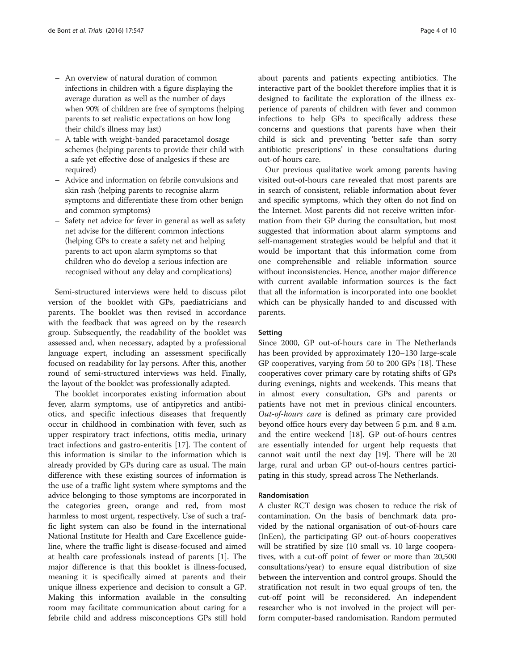- An overview of natural duration of common infections in children with a figure displaying the average duration as well as the number of days when 90% of children are free of symptoms (helping parents to set realistic expectations on how long their child's illness may last)
- A table with weight-banded paracetamol dosage schemes (helping parents to provide their child with a safe yet effective dose of analgesics if these are required)
- Advice and information on febrile convulsions and skin rash (helping parents to recognise alarm symptoms and differentiate these from other benign and common symptoms)
- Safety net advice for fever in general as well as safety net advise for the different common infections (helping GPs to create a safety net and helping parents to act upon alarm symptoms so that children who do develop a serious infection are recognised without any delay and complications)

Semi-structured interviews were held to discuss pilot version of the booklet with GPs, paediatricians and parents. The booklet was then revised in accordance with the feedback that was agreed on by the research group. Subsequently, the readability of the booklet was assessed and, when necessary, adapted by a professional language expert, including an assessment specifically focused on readability for lay persons. After this, another round of semi-structured interviews was held. Finally, the layout of the booklet was professionally adapted.

The booklet incorporates existing information about fever, alarm symptoms, use of antipyretics and antibiotics, and specific infectious diseases that frequently occur in childhood in combination with fever, such as upper respiratory tract infections, otitis media, urinary tract infections and gastro-enteritis [\[17](#page-9-0)]. The content of this information is similar to the information which is already provided by GPs during care as usual. The main difference with these existing sources of information is the use of a traffic light system where symptoms and the advice belonging to those symptoms are incorporated in the categories green, orange and red, from most harmless to most urgent, respectively. Use of such a traffic light system can also be found in the international National Institute for Health and Care Excellence guideline, where the traffic light is disease-focused and aimed at health care professionals instead of parents [[1\]](#page-8-0). The major difference is that this booklet is illness-focused, meaning it is specifically aimed at parents and their unique illness experience and decision to consult a GP. Making this information available in the consulting room may facilitate communication about caring for a febrile child and address misconceptions GPs still hold about parents and patients expecting antibiotics. The interactive part of the booklet therefore implies that it is designed to facilitate the exploration of the illness experience of parents of children with fever and common infections to help GPs to specifically address these concerns and questions that parents have when their child is sick and preventing 'better safe than sorry antibiotic prescriptions' in these consultations during out-of-hours care.

Our previous qualitative work among parents having visited out-of-hours care revealed that most parents are in search of consistent, reliable information about fever and specific symptoms, which they often do not find on the Internet. Most parents did not receive written information from their GP during the consultation, but most suggested that information about alarm symptoms and self-management strategies would be helpful and that it would be important that this information come from one comprehensible and reliable information source without inconsistencies. Hence, another major difference with current available information sources is the fact that all the information is incorporated into one booklet which can be physically handed to and discussed with parents.

## Setting

Since 2000, GP out-of-hours care in The Netherlands has been provided by approximately 120–130 large-scale GP cooperatives, varying from 50 to 200 GPs [\[18\]](#page-9-0). These cooperatives cover primary care by rotating shifts of GPs during evenings, nights and weekends. This means that in almost every consultation, GPs and parents or patients have not met in previous clinical encounters. Out-of-hours care is defined as primary care provided beyond office hours every day between 5 p.m. and 8 a.m. and the entire weekend [[18\]](#page-9-0). GP out-of-hours centres are essentially intended for urgent help requests that cannot wait until the next day [[19\]](#page-9-0). There will be 20 large, rural and urban GP out-of-hours centres participating in this study, spread across The Netherlands.

## Randomisation

A cluster RCT design was chosen to reduce the risk of contamination. On the basis of benchmark data provided by the national organisation of out-of-hours care (InEen), the participating GP out-of-hours cooperatives will be stratified by size (10 small vs. 10 large cooperatives, with a cut-off point of fewer or more than 20,500 consultations/year) to ensure equal distribution of size between the intervention and control groups. Should the stratification not result in two equal groups of ten, the cut-off point will be reconsidered. An independent researcher who is not involved in the project will perform computer-based randomisation. Random permuted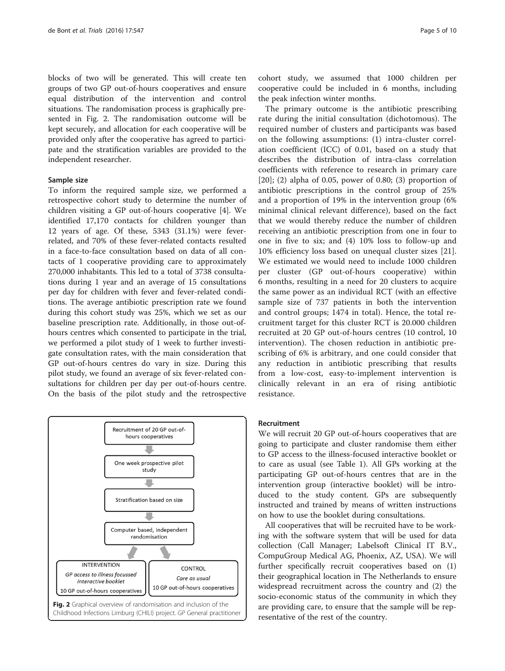blocks of two will be generated. This will create ten groups of two GP out-of-hours cooperatives and ensure equal distribution of the intervention and control situations. The randomisation process is graphically presented in Fig. 2. The randomisation outcome will be kept securely, and allocation for each cooperative will be provided only after the cooperative has agreed to participate and the stratification variables are provided to the independent researcher.

## Sample size

To inform the required sample size, we performed a retrospective cohort study to determine the number of children visiting a GP out-of-hours cooperative [\[4\]](#page-8-0). We identified 17,170 contacts for children younger than 12 years of age. Of these, 5343 (31.1%) were feverrelated, and 70% of these fever-related contacts resulted in a face-to-face consultation based on data of all contacts of 1 cooperative providing care to approximately 270,000 inhabitants. This led to a total of 3738 consultations during 1 year and an average of 15 consultations per day for children with fever and fever-related conditions. The average antibiotic prescription rate we found during this cohort study was 25%, which we set as our baseline prescription rate. Additionally, in those out-ofhours centres which consented to participate in the trial, we performed a pilot study of 1 week to further investigate consultation rates, with the main consideration that GP out-of-hours centres do vary in size. During this pilot study, we found an average of six fever-related consultations for children per day per out-of-hours centre. On the basis of the pilot study and the retrospective



cohort study, we assumed that 1000 children per cooperative could be included in 6 months, including the peak infection winter months.

The primary outcome is the antibiotic prescribing rate during the initial consultation (dichotomous). The required number of clusters and participants was based on the following assumptions: (1) intra-cluster correlation coefficient (ICC) of 0.01, based on a study that describes the distribution of intra-class correlation coefficients with reference to research in primary care  $[20]$  $[20]$ ;  $(2)$  alpha of 0.05, power of 0.80;  $(3)$  proportion of antibiotic prescriptions in the control group of 25% and a proportion of 19% in the intervention group (6% minimal clinical relevant difference), based on the fact that we would thereby reduce the number of children receiving an antibiotic prescription from one in four to one in five to six; and (4) 10% loss to follow-up and 10% efficiency loss based on unequal cluster sizes [\[21](#page-9-0)]. We estimated we would need to include 1000 children per cluster (GP out-of-hours cooperative) within 6 months, resulting in a need for 20 clusters to acquire the same power as an individual RCT (with an effective sample size of 737 patients in both the intervention and control groups; 1474 in total). Hence, the total recruitment target for this cluster RCT is 20.000 children recruited at 20 GP out-of-hours centres (10 control, 10 intervention). The chosen reduction in antibiotic prescribing of 6% is arbitrary, and one could consider that any reduction in antibiotic prescribing that results from a low-cost, easy-to-implement intervention is clinically relevant in an era of rising antibiotic resistance.

### Recruitment

We will recruit 20 GP out-of-hours cooperatives that are going to participate and cluster randomise them either to GP access to the illness-focused interactive booklet or to care as usual (see Table [1\)](#page-5-0). All GPs working at the participating GP out-of-hours centres that are in the intervention group (interactive booklet) will be introduced to the study content. GPs are subsequently instructed and trained by means of written instructions on how to use the booklet during consultations.

All cooperatives that will be recruited have to be working with the software system that will be used for data collection (Call Manager; Labelsoft Clinical IT B.V., CompuGroup Medical AG, Phoenix, AZ, USA). We will further specifically recruit cooperatives based on (1) their geographical location in The Netherlands to ensure widespread recruitment across the country and (2) the socio-economic status of the community in which they are providing care, to ensure that the sample will be representative of the rest of the country.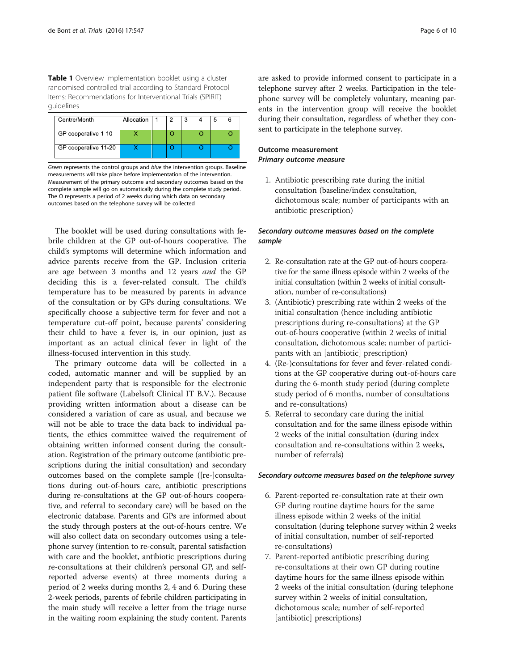<span id="page-5-0"></span>Table 1 Overview implementation booklet using a cluster randomised controlled trial according to Standard Protocol Items: Recommendations for Interventional Trials (SPIRIT) guidelines

| Centre/Month         | Allocation |  | я |  |  |
|----------------------|------------|--|---|--|--|
| GP cooperative 1-10  |            |  |   |  |  |
| GP cooperative 11-20 |            |  |   |  |  |

Green represents the control groups and blue the intervention groups. Baseline measurements will take place before implementation of the intervention. Measurement of the primary outcome and secondary outcomes based on the complete sample will go on automatically during the complete study period. The O represents a period of 2 weeks during which data on secondary outcomes based on the telephone survey will be collected

The booklet will be used during consultations with febrile children at the GP out-of-hours cooperative. The child's symptoms will determine which information and advice parents receive from the GP. Inclusion criteria are age between 3 months and 12 years and the GP deciding this is a fever-related consult. The child's temperature has to be measured by parents in advance of the consultation or by GPs during consultations. We specifically choose a subjective term for fever and not a temperature cut-off point, because parents' considering their child to have a fever is, in our opinion, just as important as an actual clinical fever in light of the illness-focused intervention in this study.

The primary outcome data will be collected in a coded, automatic manner and will be supplied by an independent party that is responsible for the electronic patient file software (Labelsoft Clinical IT B.V.). Because providing written information about a disease can be considered a variation of care as usual, and because we will not be able to trace the data back to individual patients, the ethics committee waived the requirement of obtaining written informed consent during the consultation. Registration of the primary outcome (antibiotic prescriptions during the initial consultation) and secondary outcomes based on the complete sample ([re-]consultations during out-of-hours care, antibiotic prescriptions during re-consultations at the GP out-of-hours cooperative, and referral to secondary care) will be based on the electronic database. Parents and GPs are informed about the study through posters at the out-of-hours centre. We will also collect data on secondary outcomes using a telephone survey (intention to re-consult, parental satisfaction with care and the booklet, antibiotic prescriptions during re-consultations at their children's personal GP, and selfreported adverse events) at three moments during a period of 2 weeks during months 2, 4 and 6. During these 2-week periods, parents of febrile children participating in the main study will receive a letter from the triage nurse in the waiting room explaining the study content. Parents

are asked to provide informed consent to participate in a telephone survey after 2 weeks. Participation in the telephone survey will be completely voluntary, meaning parents in the intervention group will receive the booklet during their consultation, regardless of whether they consent to participate in the telephone survey.

# Outcome measurement Primary outcome measure

1. Antibiotic prescribing rate during the initial consultation (baseline/index consultation, dichotomous scale; number of participants with an antibiotic prescription)

# Secondary outcome measures based on the complete sample

- 2. Re-consultation rate at the GP out-of-hours cooperative for the same illness episode within 2 weeks of the initial consultation (within 2 weeks of initial consultation, number of re-consultations)
- 3. (Antibiotic) prescribing rate within 2 weeks of the initial consultation (hence including antibiotic prescriptions during re-consultations) at the GP out-of-hours cooperative (within 2 weeks of initial consultation, dichotomous scale; number of participants with an [antibiotic] prescription)
- 4. (Re-)consultations for fever and fever-related conditions at the GP cooperative during out-of-hours care during the 6-month study period (during complete study period of 6 months, number of consultations and re-consultations)
- 5. Referral to secondary care during the initial consultation and for the same illness episode within 2 weeks of the initial consultation (during index consultation and re-consultations within 2 weeks, number of referrals)

## Secondary outcome measures based on the telephone survey

- 6. Parent-reported re-consultation rate at their own GP during routine daytime hours for the same illness episode within 2 weeks of the initial consultation (during telephone survey within 2 weeks of initial consultation, number of self-reported re-consultations)
- 7. Parent-reported antibiotic prescribing during re-consultations at their own GP during routine daytime hours for the same illness episode within 2 weeks of the initial consultation (during telephone survey within 2 weeks of initial consultation, dichotomous scale; number of self-reported [antibiotic] prescriptions)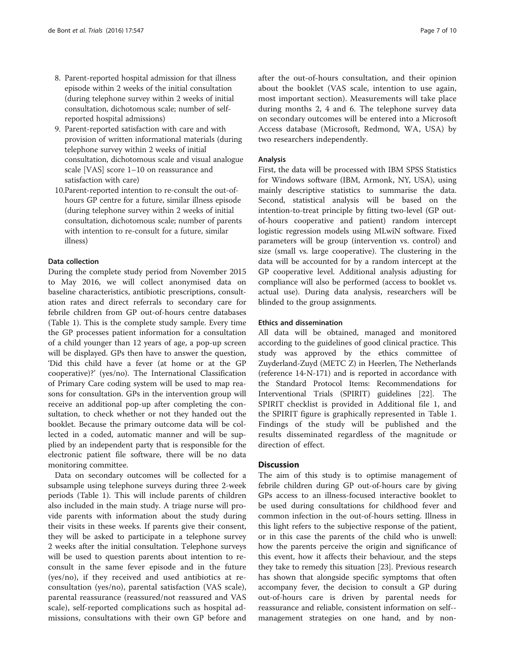- 8. Parent-reported hospital admission for that illness episode within 2 weeks of the initial consultation (during telephone survey within 2 weeks of initial consultation, dichotomous scale; number of selfreported hospital admissions)
- 9. Parent-reported satisfaction with care and with provision of written informational materials (during telephone survey within 2 weeks of initial consultation, dichotomous scale and visual analogue scale [VAS] score 1–10 on reassurance and satisfaction with care)
- 10.Parent-reported intention to re-consult the out-ofhours GP centre for a future, similar illness episode (during telephone survey within 2 weeks of initial consultation, dichotomous scale; number of parents with intention to re-consult for a future, similar illness)

## Data collection

During the complete study period from November 2015 to May 2016, we will collect anonymised data on baseline characteristics, antibiotic prescriptions, consultation rates and direct referrals to secondary care for febrile children from GP out-of-hours centre databases (Table [1](#page-5-0)). This is the complete study sample. Every time the GP processes patient information for a consultation of a child younger than 12 years of age, a pop-up screen will be displayed. GPs then have to answer the question, 'Did this child have a fever (at home or at the GP cooperative)?' (yes/no). The International Classification of Primary Care coding system will be used to map reasons for consultation. GPs in the intervention group will receive an additional pop-up after completing the consultation, to check whether or not they handed out the booklet. Because the primary outcome data will be collected in a coded, automatic manner and will be supplied by an independent party that is responsible for the electronic patient file software, there will be no data monitoring committee.

Data on secondary outcomes will be collected for a subsample using telephone surveys during three 2-week periods (Table [1](#page-5-0)). This will include parents of children also included in the main study. A triage nurse will provide parents with information about the study during their visits in these weeks. If parents give their consent, they will be asked to participate in a telephone survey 2 weeks after the initial consultation. Telephone surveys will be used to question parents about intention to reconsult in the same fever episode and in the future (yes/no), if they received and used antibiotics at reconsultation (yes/no), parental satisfaction (VAS scale), parental reassurance (reassured/not reassured and VAS scale), self-reported complications such as hospital admissions, consultations with their own GP before and after the out-of-hours consultation, and their opinion about the booklet (VAS scale, intention to use again, most important section). Measurements will take place during months 2, 4 and 6. The telephone survey data on secondary outcomes will be entered into a Microsoft Access database (Microsoft, Redmond, WA, USA) by two researchers independently.

## Analysis

First, the data will be processed with IBM SPSS Statistics for Windows software (IBM, Armonk, NY, USA), using mainly descriptive statistics to summarise the data. Second, statistical analysis will be based on the intention-to-treat principle by fitting two-level (GP outof-hours cooperative and patient) random intercept logistic regression models using MLwiN software. Fixed parameters will be group (intervention vs. control) and size (small vs. large cooperative). The clustering in the data will be accounted for by a random intercept at the GP cooperative level. Additional analysis adjusting for compliance will also be performed (access to booklet vs. actual use). During data analysis, researchers will be blinded to the group assignments.

## Ethics and dissemination

All data will be obtained, managed and monitored according to the guidelines of good clinical practice. This study was approved by the ethics committee of Zuyderland-Zuyd (METC Z) in Heerlen, The Netherlands (reference 14-N-171) and is reported in accordance with the Standard Protocol Items: Recommendations for Interventional Trials (SPIRIT) guidelines [[22\]](#page-9-0). The SPIRIT checklist is provided in Additional file [1](#page-8-0), and the SPIRIT figure is graphically represented in Table [1](#page-5-0). Findings of the study will be published and the results disseminated regardless of the magnitude or direction of effect.

# **Discussion**

The aim of this study is to optimise management of febrile children during GP out-of-hours care by giving GPs access to an illness-focused interactive booklet to be used during consultations for childhood fever and common infection in the out-of-hours setting. Illness in this light refers to the subjective response of the patient, or in this case the parents of the child who is unwell: how the parents perceive the origin and significance of this event, how it affects their behaviour, and the steps they take to remedy this situation [[23](#page-9-0)]. Previous research has shown that alongside specific symptoms that often accompany fever, the decision to consult a GP during out-of-hours care is driven by parental needs for reassurance and reliable, consistent information on self- management strategies on one hand, and by non-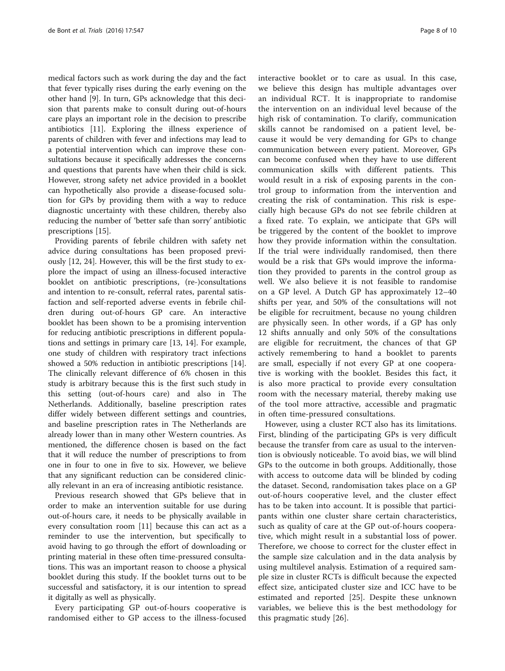medical factors such as work during the day and the fact that fever typically rises during the early evening on the other hand [[9](#page-8-0)]. In turn, GPs acknowledge that this decision that parents make to consult during out-of-hours care plays an important role in the decision to prescribe antibiotics [\[11](#page-9-0)]. Exploring the illness experience of parents of children with fever and infections may lead to a potential intervention which can improve these consultations because it specifically addresses the concerns and questions that parents have when their child is sick. However, strong safety net advice provided in a booklet can hypothetically also provide a disease-focused solution for GPs by providing them with a way to reduce diagnostic uncertainty with these children, thereby also reducing the number of 'better safe than sorry' antibiotic prescriptions [[15\]](#page-9-0).

Providing parents of febrile children with safety net advice during consultations has been proposed previously [\[12, 24\]](#page-9-0). However, this will be the first study to explore the impact of using an illness-focused interactive booklet on antibiotic prescriptions, (re-)consultations and intention to re-consult, referral rates, parental satisfaction and self-reported adverse events in febrile children during out-of-hours GP care. An interactive booklet has been shown to be a promising intervention for reducing antibiotic prescriptions in different populations and settings in primary care [\[13](#page-9-0), [14](#page-9-0)]. For example, one study of children with respiratory tract infections showed a 50% reduction in antibiotic prescriptions [\[14](#page-9-0)]. The clinically relevant difference of 6% chosen in this study is arbitrary because this is the first such study in this setting (out-of-hours care) and also in The Netherlands. Additionally, baseline prescription rates differ widely between different settings and countries, and baseline prescription rates in The Netherlands are already lower than in many other Western countries. As mentioned, the difference chosen is based on the fact that it will reduce the number of prescriptions to from one in four to one in five to six. However, we believe that any significant reduction can be considered clinically relevant in an era of increasing antibiotic resistance.

Previous research showed that GPs believe that in order to make an intervention suitable for use during out-of-hours care, it needs to be physically available in every consultation room [[11](#page-9-0)] because this can act as a reminder to use the intervention, but specifically to avoid having to go through the effort of downloading or printing material in these often time-pressured consultations. This was an important reason to choose a physical booklet during this study. If the booklet turns out to be successful and satisfactory, it is our intention to spread it digitally as well as physically.

Every participating GP out-of-hours cooperative is randomised either to GP access to the illness-focused

interactive booklet or to care as usual. In this case, we believe this design has multiple advantages over an individual RCT. It is inappropriate to randomise the intervention on an individual level because of the high risk of contamination. To clarify, communication skills cannot be randomised on a patient level, because it would be very demanding for GPs to change communication between every patient. Moreover, GPs can become confused when they have to use different communication skills with different patients. This would result in a risk of exposing parents in the control group to information from the intervention and creating the risk of contamination. This risk is especially high because GPs do not see febrile children at a fixed rate. To explain, we anticipate that GPs will be triggered by the content of the booklet to improve how they provide information within the consultation. If the trial were individually randomised, then there would be a risk that GPs would improve the information they provided to parents in the control group as well. We also believe it is not feasible to randomise on a GP level. A Dutch GP has approximately 12–40 shifts per year, and 50% of the consultations will not be eligible for recruitment, because no young children are physically seen. In other words, if a GP has only 12 shifts annually and only 50% of the consultations are eligible for recruitment, the chances of that GP actively remembering to hand a booklet to parents are small, especially if not every GP at one cooperative is working with the booklet. Besides this fact, it is also more practical to provide every consultation room with the necessary material, thereby making use of the tool more attractive, accessible and pragmatic in often time-pressured consultations.

However, using a cluster RCT also has its limitations. First, blinding of the participating GPs is very difficult because the transfer from care as usual to the intervention is obviously noticeable. To avoid bias, we will blind GPs to the outcome in both groups. Additionally, those with access to outcome data will be blinded by coding the dataset. Second, randomisation takes place on a GP out-of-hours cooperative level, and the cluster effect has to be taken into account. It is possible that participants within one cluster share certain characteristics, such as quality of care at the GP out-of-hours cooperative, which might result in a substantial loss of power. Therefore, we choose to correct for the cluster effect in the sample size calculation and in the data analysis by using multilevel analysis. Estimation of a required sample size in cluster RCTs is difficult because the expected effect size, anticipated cluster size and ICC have to be estimated and reported [\[25](#page-9-0)]. Despite these unknown variables, we believe this is the best methodology for this pragmatic study [[26\]](#page-9-0).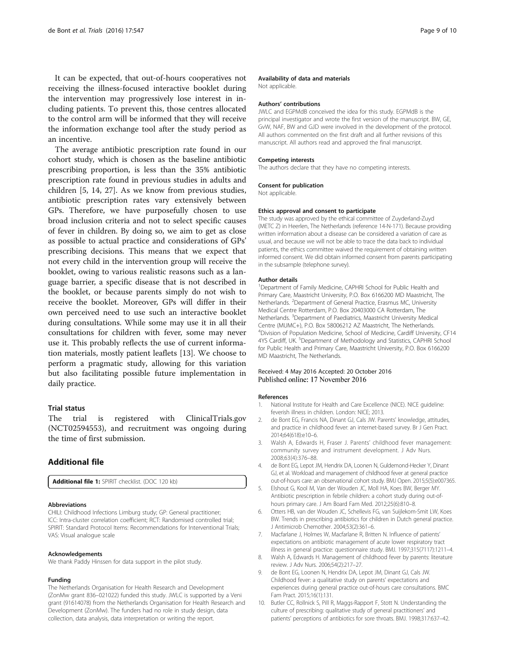<span id="page-8-0"></span>It can be expected, that out-of-hours cooperatives not receiving the illness-focused interactive booklet during the intervention may progressively lose interest in including patients. To prevent this, those centres allocated to the control arm will be informed that they will receive the information exchange tool after the study period as an incentive.

The average antibiotic prescription rate found in our cohort study, which is chosen as the baseline antibiotic prescribing proportion, is less than the 35% antibiotic prescription rate found in previous studies in adults and children [5, [14, 27](#page-9-0)]. As we know from previous studies, antibiotic prescription rates vary extensively between GPs. Therefore, we have purposefully chosen to use broad inclusion criteria and not to select specific causes of fever in children. By doing so, we aim to get as close as possible to actual practice and considerations of GPs' prescribing decisions. This means that we expect that not every child in the intervention group will receive the booklet, owing to various realistic reasons such as a language barrier, a specific disease that is not described in the booklet, or because parents simply do not wish to receive the booklet. Moreover, GPs will differ in their own perceived need to use such an interactive booklet during consultations. While some may use it in all their consultations for children with fever, some may never use it. This probably reflects the use of current information materials, mostly patient leaflets [\[13\]](#page-9-0). We choose to perform a pragmatic study, allowing for this variation but also facilitating possible future implementation in daily practice.

## Trial status

The trial is registered with ClinicalTrials.gov (NCT02594553), and recruitment was ongoing during the time of first submission.

# Additional file

[Additional file 1:](dx.doi.org/10.1186/s13063-016-1667-8) SPIRIT checklist. (DOC 120 kb)

#### Abbreviations

CHILI: Childhood Infections Limburg study; GP: General practitioner; ICC: Intra-cluster correlation coefficient; RCT: Randomised controlled trial; SPIRIT: Standard Protocol Items: Recommendations for Interventional Trials; VAS: Visual analogue scale

#### Acknowledgements

We thank Paddy Hinssen for data support in the pilot study.

#### Funding

The Netherlands Organisation for Health Research and Development (ZonMw grant 836–021022) funded this study. JWLC is supported by a Veni grant (91614078) from the Netherlands Organisation for Health Research and Development (ZonMw). The funders had no role in study design, data collection, data analysis, data interpretation or writing the report.

#### Availability of data and materials

Not applicable.

#### Authors' contributions

JWLC and EGPMdB conceived the idea for this study. EGPMdB is the principal investigator and wrote the first version of the manuscript. BW, GE, GvW, NAF, BW and GJD were involved in the development of the protocol. All authors commented on the first draft and all further revisions of this manuscript. All authors read and approved the final manuscript.

#### Competing interests

The authors declare that they have no competing interests.

#### Consent for publication

Not applicable.

#### Ethics approval and consent to participate

The study was approved by the ethical committee of Zuyderland-Zuyd (METC Z) in Heerlen, The Netherlands (reference 14-N-171). Because providing written information about a disease can be considered a variation of care as usual, and because we will not be able to trace the data back to individual patients, the ethics committee waived the requirement of obtaining written informed consent. We did obtain informed consent from parents participating in the subsample (telephone survey).

#### Author details

<sup>1</sup>Department of Family Medicine, CAPHRI School for Public Health and Primary Care, Maastricht University, P.O. Box 6166200 MD Maastricht, The Netherlands. <sup>2</sup>Department of General Practice, Erasmus MC, University Medical Centre Rotterdam, P.O. Box 20403000 CA Rotterdam, The Netherlands.<sup>3</sup> Department of Paediatrics, Maastricht University Medical Centre (MUMC+), P.O. Box 58006212 AZ Maastricht, The Netherlands. 4 Division of Population Medicine, School of Medicine, Cardiff University, CF14 4YS Cardiff, UK.<sup>5</sup> Department of Methodology and Statistics, CAPHRI School for Public Health and Primary Care, Maastricht University, P.O. Box 6166200 MD Maastricht, The Netherlands.

## Received: 4 May 2016 Accepted: 20 October 2016 Published online: 17 November 2016

#### References

- 1. National Institute for Health and Care Excellence (NICE). NICE guideline: feverish illness in children. London: NICE; 2013.
- 2. de Bont EG, Francis NA, Dinant GJ, Cals JW. Parents' knowledge, attitudes, and practice in childhood fever: an internet-based survey. Br J Gen Pract. 2014;64(618):e10–6.
- 3. Walsh A, Edwards H, Fraser J. Parents' childhood fever management: community survey and instrument development. J Adv Nurs. 2008;63(4):376–88.
- 4. de Bont EG, Lepot JM, Hendrix DA, Loonen N, Guldemond-Hecker Y, Dinant GJ, et al. Workload and management of childhood fever at general practice out-of-hours care: an observational cohort study. BMJ Open. 2015;5(5):e007365.
- 5. Elshout G, Kool M, Van der Wouden JC, Moll HA, Koes BW, Berger MY. Antibiotic prescription in febrile children: a cohort study during out-ofhours primary care. J Am Board Fam Med. 2012;25(6):810–8.
- 6. Otters HB, van der Wouden JC, Schellevis FG, van Suijlekom-Smit LW, Koes BW. Trends in prescribing antibiotics for children in Dutch general practice. J Antimicrob Chemother. 2004;53(2):361–6.
- 7. Macfarlane J, Holmes W, Macfarlane R, Britten N. Influence of patients' expectations on antibiotic management of acute lower respiratory tract illness in general practice: questionnaire study. BMJ. 1997;315(7117):1211–4.
- 8. Walsh A, Edwards H. Management of childhood fever by parents: literature review. J Adv Nurs. 2006;54(2):217–27.
- 9. de Bont EG, Loonen N, Hendrix DA, Lepot JM, Dinant GJ, Cals JW. Childhood fever: a qualitative study on parents' expectations and experiences during general practice out-of-hours care consultations. BMC Fam Pract. 2015;16(1):131.
- 10. Butler CC, Rollnick S, Pill R, Maggs-Rapport F, Stott N. Understanding the culture of prescribing: qualitative study of general practitioners' and patients' perceptions of antibiotics for sore throats. BMJ. 1998;317:637–42.